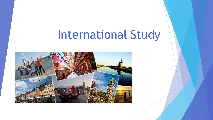# International Study

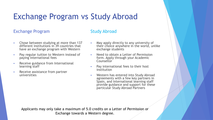## Exchange Program vs Study Abroad

### Exchange Program

### Study Abroad

- **Chose between studying at more than 137** different institutions in 39 countries that have an exchange program with Western
- Pay regular tuition to Western instead of paying international fees
- Receive guidance from International learning staff
- Receive assistance from partner universities
- **May apply directly to any university of** their choice anywhere in the world, unlike exchange students
- Need to obtain a Letter of Permission form. Apply through your Academic **Counsellor**
- Pay international fees to their host institution
- Western has entered into Study Abroad agreements with a few key partners in Spain, and International learning staff provide guidance and support for these particular Study Abroad Partners

Applicants may only take a maximum of 5.0 credits on a Letter of Permission or Exchange towards a Western degree.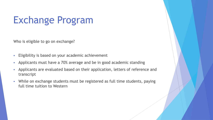# Exchange Program

Who is eligible to go on exchange?

- **Eligibility is based on your academic achievement**
- Applicants must have a 70% average and be in good academic standing
- Applicants are evaluated based on their application, letters of reference and transcript
- While on exchange students must be registered as full time students, paying full time tuition to Western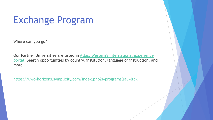# Exchange Program

Where can you go?

Our Partner Universities are listed in Atlas, Western's international experience [portal. Search opportunities by country, institution, language of instruction, an](https://uwo-horizons.symplicity.com/?mode=list)d more.

<https://uwo-horizons.symplicity.com/index.php?s=programs&au=&ck>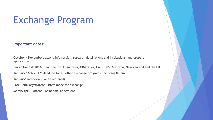# Exchange Program

#### **Important dates:**

**October – November:** attend info session, research destinations and institutions, and prepare application

**December 1st 2016:** deadline for St. Andrews, OBW, ORA, OMG, OJS, Australia, New Zealand and the UK

**January 16th 2017:** deadline for all other exchange programs, including Killam

**January:** interviews (when required)

**Late February/March:** Offers made for exchange

**March/April:** attend Pre-Departure sessions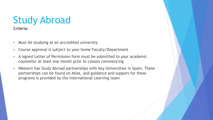### Study Abroad Criteria:

- **Must be studying at an accredited university**
- Course approval is subject to your home Faculty/Department
- A signed Letter of Permission form must be submitted to your academic counsellor at least one month prior to classes commencing
- Western has Study Abroad partnerships with key Universities in Spain. These partnerships can be found on Atlas, and guidance and support for these programs is provided by the International Learning team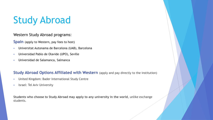# Study Abroad

### Western Study Abroad programs:

**Spain** (apply to Western, pay fees to host)

- Universitat Autonama de Barcelona (UAB), Barcelona
- Universidad Pablo de Olavide (UPO), Seville
- Universidad de Salamanca, Salmanca

### **Study Abroad Options Affiliated with Western** (apply and pay directly to the institution)

- United Kingdom: Bader International Study Centre
- **ISPARENT IS ISSUE 15 ISSUE 15 ISSUE 15 ISSUE 15 ISSUE 15 ISSUE 15 ISSUE 15 ISSUE 15 ISSUE 15 ISSUE 15 ISSUE 15 ISSUE 15 ISSUE 15 ISSUE 15 ISSUE 15 ISSUE 15 ISSUE 15 ISSUE 15 ISSUE 15 ISSUE 15 ISSUE 15 ISSUE 15 ISSUE 15 IS**

**Students who choose to Study Abroad may apply to any university in the world**, unlike exchange students.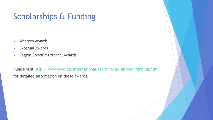## Scholarships & Funding

- Western Awards
- **External Awards**
- **-** Region-Specific External Awards

Please visit [http://www.uwo.ca/international/learning/go\\_abroad/funding.html](http://www.uwo.ca/international/learning/go_abroad/funding.html) for detailed information on these awards.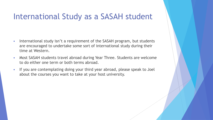## International Study as a SASAH student

- International study isn't a requirement of the SASAH program, but students are encouraged to undertake some sort of international study during their time at Western.
- Most SASAH students travel abroad during Year Three. Students are welcome to do either one term or both terms abroad.
- If you are contemplating doing your third year abroad, please speak to Joel about the courses you want to take at your host university.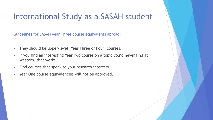## International Study as a SASAH student

Guidelines for SASAH year Three course equivalents abroad:

- **They should be upper-level (Year Three or Four) courses.**
- If you find an interesting Year Two course on a topic you'd never find at Western, that works.
- Find courses that speak to your research interests.
- Year One course equivalencies will not be approved.